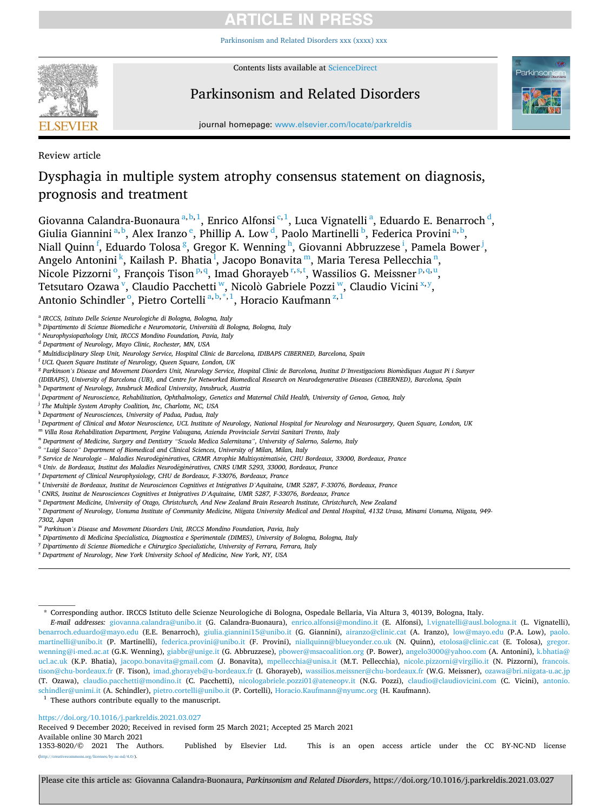[Parkinsonism and Related Disorders xxx \(xxxx\) xxx](https://doi.org/10.1016/j.parkreldis.2021.03.027)



Contents lists available at [ScienceDirect](www.sciencedirect.com/science/journal/13538020)

# Parkinsonism and Related Disorders



journal homepage: [www.elsevier.com/locate/parkreldis](https://www.elsevier.com/locate/parkreldis) 

Review article

# Dysphagia in multiple system atrophy consensus statement on diagnosis, prognosis and treatment

Giovanna Calandra-Buonaura <sup>a, b, 1</sup>, Enrico Alfonsi <sup>c, 1</sup>, Luca Vignatelli <sup>a</sup>, Eduardo E. Benarroch <sup>d</sup>, Giulia Giannini<sup>a, b</sup>, Alex Iranzo<sup>e</sup>, Phillip A. Low<sup>d</sup>, Paolo Martinelli<sup>b</sup>, Federica Provini<sup>a, b</sup>, Niall Quinn<sup> f</sup>, Eduardo Tolosa <sup>g</sup>, Gregor K. Wenning <sup>h</sup>, Giovanni Abbruzzese <sup>i</sup>, Pamela Bower <sup>j</sup>, Angelo Antonini<sup>k</sup>, Kailash P. Bhatia<sup>1</sup>, Jacopo Bonavita<sup>m</sup>, Maria Teresa Pellecchia<sup>n</sup>, Nicole Pizzorni<sup>o</sup>, François Tison<sup>p,q</sup>, Imad Ghorayeb<sup>r,s,t</sup>, Wassilios G. Meissner<sup>p,q,u</sup>, Tetsutaro Ozawa<sup>v</sup>, Claudio Pacchetti<sup>w</sup>, Nicolò Gabriele Pozzi<sup>w</sup>, Claudio Vicini<sup>x,y</sup>, Antonio Schindler<sup>o</sup>, Pietro Cortelli<sup>a, b,\*,1</sup>, Horacio Kaufmann<sup>z,1</sup>

<sup>a</sup> *IRCCS, Istituto Delle Scienze Neurologiche di Bologna, Bologna, Italy* 

<sup>b</sup> *Dipartimento di Scienze Biomediche e Neuromotorie, Universita* ` *di Bologna, Bologna, Italy* 

- <sup>c</sup> *Neurophysiopathology Unit, IRCCS Mondino Foundation, Pavia, Italy*
- <sup>d</sup> *Department of Neurology, Mayo Clinic, Rochester, MN, USA*
- <sup>e</sup> *Multidisciplinary Sleep Unit, Neurology Service, Hospital Clinic de Barcelona, IDIBAPS CIBERNED, Barcelona, Spain*
- <sup>f</sup> *UCL Queen Square Institute of Neurology, Queen Square, London, UK*
- <sup>g</sup> *Parkinson's Disease and Movement Disorders Unit, Neurology Service, Hospital Clinic de Barcelona, Institut D'Investigacions Biom*`*ediques August Pi i Sunyer*
- *(IDIBAPS), University of Barcelona (UB), and Centre for Networked Biomedical Research on Neurodegenerative Diseases (CIBERNED), Barcelona, Spain*
- <sup>h</sup> *Department of Neurology, Innsbruck Medical University, Innsbruck, Austria*

- <sup>j</sup> *The Multiple System Atrophy Coalition, Inc, Charlotte, NC, USA*
- <sup>k</sup> *Department of Neurosciences, University of Padua, Padua, Italy* <sup>l</sup> *Department of Clinical and Motor Neuroscience, UCL Institute of Neurology, National Hospital for Neurology and Neurosurgery, Queen Square, London, UK*
- <sup>m</sup> *Villa Rosa Rehabilitation Department, Pergine Valsugana, Azienda Provinciale Servizi Sanitari Trento, Italy*
- <sup>n</sup> *Department of Medicine, Surgery and Dentistry "Scuola Medica Salernitana", University of Salerno, Salerno, Italy*
- <sup>o</sup> *"Luigi Sacco" Department of Biomedical and Clinical Sciences, University of Milan, Milan, Italy*
- <sup>p</sup> *Service de Neurologie Maladies Neurod*´*eg*´*en*´*eratives, CRMR Atrophie Multisyst*´*ematis*´*ee, CHU Bordeaux, 33000, Bordeaux, France*
- <sup>q</sup> Univ. de Bordeaux, Institut des Maladies Neurodégénératives, CNRS UMR 5293, 33000, Bordeaux, France
- <sup>r</sup> *Departement of Clinical Neurophysiology, CHU de Bordeaux, F-33076, Bordeaux, France*
- <sup>s</sup> *Universit*´*e de Bordeaux, Institut de Neurosciences Cognitives et Int*´*egratives D'Aquitaine, UMR 5287, F-33076, Bordeaux, France*
- <sup>t</sup> CNRS, Institut de Neurosciences Cognitives et Intégratives D'Aquitaine, UMR 5287, F-33076, Bordeaux, France
- <sup>u</sup> *Department Medicine, University of Otago, Christchurch, And New Zealand Brain Research Institute, Christchurch, New Zealand*

<sup>v</sup> *Department of Neurology, Uonuma Institute of Community Medicine, Niigata University Medical and Dental Hospital, 4132 Urasa, Minami Uonuma, Niigata, 949- 7302, Japan* 

- <sup>w</sup> *Parkinson's Disease and Movement Disorders Unit, IRCCS Mondino Foundation, Pavia, Italy*
- <sup>x</sup> *Dipartimento di Medicina Specialistica, Diagnostica e Sperimentale (DIMES), University of Bologna, Bologna, Italy*
- <sup>y</sup> *Dipartimento di Scienze Biomediche e Chirurgico Specialistiche, University of Ferrara, Ferrara, Italy*
- <sup>z</sup> *Department of Neurology, New York University School of Medicine, New York, NY, USA*

*E-mail addresses:* [giovanna.calandra@unibo.it](mailto:giovanna.calandra@unibo.it) (G. Calandra-Buonaura), [enrico.alfonsi@mondino.it](mailto:enrico.alfonsi@mondino.it) (E. Alfonsi), [l.vignatelli@ausl.bologna.it](mailto:l.vignatelli@ausl.bologna.it) (L. Vignatelli), [benarroch.eduardo@mayo.edu](mailto:benarroch.eduardo@mayo.edu) (E.E. Benarroch), [giulia.giannini15@unibo.it](mailto:giulia.giannini15@unibo.it) (G. Giannini), [airanzo@clinic.cat](mailto:airanzo@clinic.cat) (A. Iranzo), [low@mayo.edu](mailto:low@mayo.edu) (P.A. Low), [paolo.](mailto:paolo.martinelli@unibo.it)  [martinelli@unibo.it](mailto:paolo.martinelli@unibo.it) (P. Martinelli), [federica.provini@unibo.it](mailto:federica.provini@unibo.it) (F. Provini), [niallquinn@blueyonder.co.uk](mailto:niallquinn@blueyonder.co.uk) (N. Quinn), [etolosa@clinic.cat](mailto:etolosa@clinic.cat) (E. Tolosa), [gregor.](mailto:gregor.wenning@i-med.ac.at)  [wenning@i-med.ac.at](mailto:gregor.wenning@i-med.ac.at) (G.K. Wenning), [giabbr@unige.it](mailto:giabbr@unige.it) (G. Abbruzzese), [pbower@msacoalition.org](mailto:pbower@msacoalition.org) (P. Bower), [angelo3000@yahoo.com](mailto:angelo3000@yahoo.com) (A. Antonini), k.bhatia@ [ucl.ac.uk](mailto:k.bhatia@ucl.ac.uk) (K.P. Bhatia), [jacopo.bonavita@gmail.com](mailto:jacopo.bonavita@gmail.com) (J. Bonavita), [mpellecchia@unisa.it](mailto:mpellecchia@unisa.it) (M.T. Pellecchia), [nicole.pizzorni@virgilio.it](mailto:nicole.pizzorni@virgilio.it) (N. Pizzorni), francois. [tison@chu-bordeaux.fr](mailto:francois.tison@chu-bordeaux.fr) (F. Tison), [imad.ghorayeb@u-bordeaux.fr](mailto:imad.ghorayeb@u-bordeaux.fr) (I. Ghorayeb), [wassilios.meissner@chu-bordeaux.fr](mailto:wassilios.meissner@chu-bordeaux.fr) (W.G. Meissner), [ozawa@bri.niigata-u.ac.jp](mailto:ozawa@bri.niigata-u.ac.jp)  (T. Ozawa), [claudio.pacchetti@mondino.it](mailto:claudio.pacchetti@mondino.it) (C. Pacchetti), [nicologabriele.pozzi01@ateneopv.it](mailto:nicologabriele.pozzi01@ateneopv.it) (N.G. Pozzi), [claudio@claudiovicini.com](mailto:claudio@claudiovicini.com) (C. Vicini), [antonio.](mailto:antonio.schindler@unimi.it)  [schindler@unimi.it](mailto:antonio.schindler@unimi.it) (A. Schindler), [pietro.cortelli@unibo.it](mailto:pietro.cortelli@unibo.it) (P. Cortelli), [Horacio.Kaufmann@nyumc.org](mailto:Horacio.Kaufmann@nyumc.org) (H. Kaufmann). <sup>1</sup> These authors contribute equally to the manuscript.

<https://doi.org/10.1016/j.parkreldis.2021.03.027>

Received 9 December 2020; Received in revised form 25 March 2021; Accepted 25 March 2021

Available online 30 March 2021<br>1353-8020/© 2021 The Authors.

1353-8020/© 2021 The Authors. Published by Elsevier Ltd. This is an open access article under the CC BY-NC-ND license ses/by-nc-nd/4.0/).

<sup>i</sup> *Department of Neuroscience, Rehabilitation, Ophthalmology, Genetics and Maternal Child Health, University of Genoa, Genoa, Italy* 

<sup>\*</sup> Corresponding author. IRCCS Istituto delle Scienze Neurologiche di Bologna, Ospedale Bellaria, Via Altura 3, 40139, Bologna, Italy.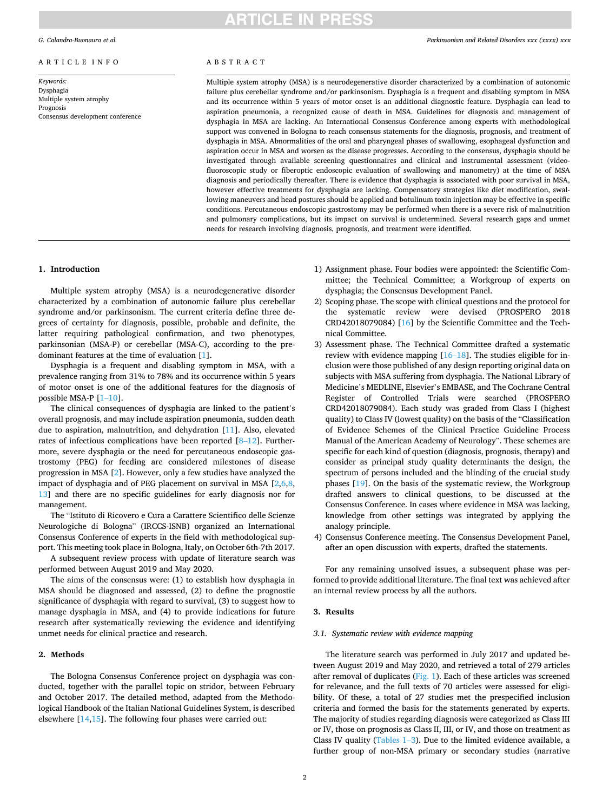### ARTICLE INFO

*Keywords:*  Dysphagia Multiple system atrophy Prognosis Consensus development conference

# **ARTICLE IN PRESS**

# ABSTRACT

Multiple system atrophy (MSA) is a neurodegenerative disorder characterized by a combination of autonomic failure plus cerebellar syndrome and/or parkinsonism. Dysphagia is a frequent and disabling symptom in MSA and its occurrence within 5 years of motor onset is an additional diagnostic feature. Dysphagia can lead to aspiration pneumonia, a recognized cause of death in MSA. Guidelines for diagnosis and management of dysphagia in MSA are lacking. An International Consensus Conference among experts with methodological support was convened in Bologna to reach consensus statements for the diagnosis, prognosis, and treatment of dysphagia in MSA. Abnormalities of the oral and pharyngeal phases of swallowing, esophageal dysfunction and aspiration occur in MSA and worsen as the disease progresses. According to the consensus, dysphagia should be investigated through available screening questionnaires and clinical and instrumental assessment (videofluoroscopic study or fiberoptic endoscopic evaluation of swallowing and manometry) at the time of MSA diagnosis and periodically thereafter. There is evidence that dysphagia is associated with poor survival in MSA, however effective treatments for dysphagia are lacking. Compensatory strategies like diet modification, swallowing maneuvers and head postures should be applied and botulinum toxin injection may be effective in specific conditions. Percutaneous endoscopic gastrostomy may be performed when there is a severe risk of malnutrition and pulmonary complications, but its impact on survival is undetermined. Several research gaps and unmet needs for research involving diagnosis, prognosis, and treatment were identified.

# **1. Introduction**

Multiple system atrophy (MSA) is a neurodegenerative disorder characterized by a combination of autonomic failure plus cerebellar syndrome and/or parkinsonism. The current criteria define three degrees of certainty for diagnosis, possible, probable and definite, the latter requiring pathological confirmation, and two phenotypes, parkinsonian (MSA-P) or cerebellar (MSA-C), according to the predominant features at the time of evaluation [\[1\]](#page-7-0).

Dysphagia is a frequent and disabling symptom in MSA, with a prevalence ranging from 31% to 78% and its occurrence within 5 years of motor onset is one of the additional features for the diagnosis of possible MSA-P [1–[10](#page-7-0)].

The clinical consequences of dysphagia are linked to the patient's overall prognosis, and may include aspiration pneumonia, sudden death due to aspiration, malnutrition, and dehydration [[11\]](#page-8-0). Also, elevated rates of infectious complications have been reported [8–[12](#page-8-0)]. Furthermore, severe dysphagia or the need for percutaneous endoscopic gastrostomy (PEG) for feeding are considered milestones of disease progression in MSA [[2](#page-7-0)]. However, only a few studies have analyzed the impact of dysphagia and of PEG placement on survival in MSA  $[2,6,8]$  $[2,6,8]$  $[2,6,8]$ , [13\]](#page-8-0) and there are no specific guidelines for early diagnosis nor for management.

The "Istituto di Ricovero e Cura a Carattere Scientifico delle Scienze Neurologiche di Bologna" (IRCCS-ISNB) organized an International Consensus Conference of experts in the field with methodological support. This meeting took place in Bologna, Italy, on October 6th-7th 2017.

A subsequent review process with update of literature search was performed between August 2019 and May 2020.

The aims of the consensus were: (1) to establish how dysphagia in MSA should be diagnosed and assessed, (2) to define the prognostic significance of dysphagia with regard to survival, (3) to suggest how to manage dysphagia in MSA, and (4) to provide indications for future research after systematically reviewing the evidence and identifying unmet needs for clinical practice and research.

# **2. Methods**

The Bologna Consensus Conference project on dysphagia was conducted, together with the parallel topic on stridor, between February and October 2017. The detailed method, adapted from the Methodological Handbook of the Italian National Guidelines System, is described elsewhere [\[14](#page-8-0),[15\]](#page-8-0). The following four phases were carried out:

- 1) Assignment phase. Four bodies were appointed: the Scientific Committee; the Technical Committee; a Workgroup of experts on dysphagia; the Consensus Development Panel.
- 2) Scoping phase. The scope with clinical questions and the protocol for the systematic review were devised (PROSPERO 2018 CRD42018079084) [[16](#page-8-0)] by the Scientific Committee and the Technical Committee.
- 3) Assessment phase. The Technical Committee drafted a systematic review with evidence mapping [16–[18\]](#page-8-0). The studies eligible for inclusion were those published of any design reporting original data on subjects with MSA suffering from dysphagia. The National Library of Medicine's MEDLINE, Elsevier's EMBASE, and The Cochrane Central Register of Controlled Trials were searched (PROSPERO CRD42018079084). Each study was graded from Class I (highest quality) to Class IV (lowest quality) on the basis of the "Classification of Evidence Schemes of the Clinical Practice Guideline Process Manual of the American Academy of Neurology". These schemes are specific for each kind of question (diagnosis, prognosis, therapy) and consider as principal study quality determinants the design, the spectrum of persons included and the blinding of the crucial study phases [[19\]](#page-8-0). On the basis of the systematic review, the Workgroup drafted answers to clinical questions, to be discussed at the Consensus Conference. In cases where evidence in MSA was lacking, knowledge from other settings was integrated by applying the analogy principle.
- 4) Consensus Conference meeting. The Consensus Development Panel, after an open discussion with experts, drafted the statements.

For any remaining unsolved issues, a subsequent phase was performed to provide additional literature. The final text was achieved after an internal review process by all the authors.

### **3. Results**

# *3.1. Systematic review with evidence mapping*

The literature search was performed in July 2017 and updated between August 2019 and May 2020, and retrieved a total of 279 articles after removal of duplicates ([Fig. 1\)](#page-2-0). Each of these articles was screened for relevance, and the full texts of 70 articles were assessed for eligibility. Of these, a total of 27 studies met the prespecified inclusion criteria and formed the basis for the statements generated by experts. The majority of studies regarding diagnosis were categorized as Class III or IV, those on prognosis as Class II, III, or IV, and those on treatment as Class IV quality [\(Tables 1](#page-3-0)–3). Due to the limited evidence available, a further group of non-MSA primary or secondary studies (narrative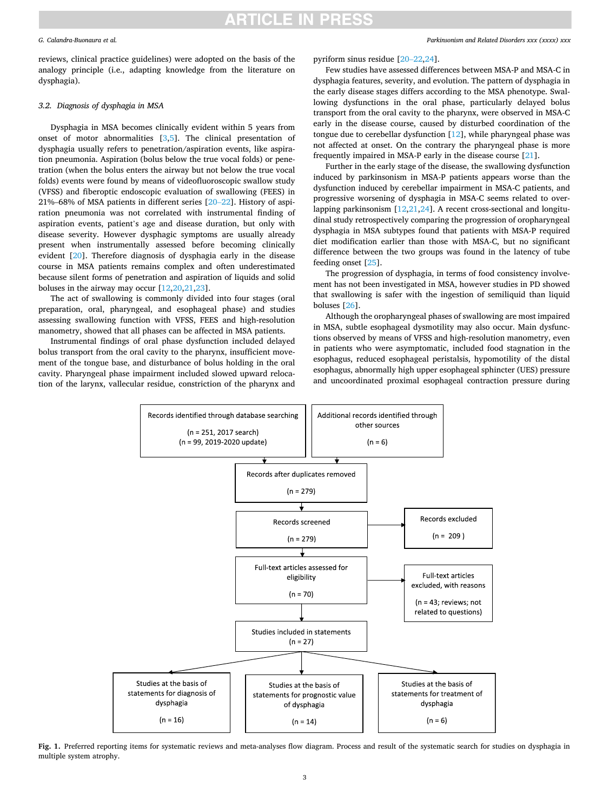#### <span id="page-2-0"></span>*G. Calandra-Buonaura et al.*

reviews, clinical practice guidelines) were adopted on the basis of the analogy principle (i.e., adapting knowledge from the literature on dysphagia).

### *3.2. Diagnosis of dysphagia in MSA*

Dysphagia in MSA becomes clinically evident within 5 years from onset of motor abnormalities [\[3,5](#page-7-0)]. The clinical presentation of dysphagia usually refers to penetration/aspiration events, like aspiration pneumonia. Aspiration (bolus below the true vocal folds) or penetration (when the bolus enters the airway but not below the true vocal folds) events were found by means of videofluoroscopic swallow study (VFSS) and fiberoptic endoscopic evaluation of swallowing (FEES) in 21%–68% of MSA patients in different series [20–[22\]](#page-8-0). History of aspiration pneumonia was not correlated with instrumental finding of aspiration events, patient's age and disease duration, but only with disease severity. However dysphagic symptoms are usually already present when instrumentally assessed before becoming clinically evident [\[20](#page-8-0)]. Therefore diagnosis of dysphagia early in the disease course in MSA patients remains complex and often underestimated because silent forms of penetration and aspiration of liquids and solid boluses in the airway may occur [[12,20,21](#page-8-0),[23\]](#page-8-0).

The act of swallowing is commonly divided into four stages (oral preparation, oral, pharyngeal, and esophageal phase) and studies assessing swallowing function with VFSS, FEES and high-resolution manometry, showed that all phases can be affected in MSA patients.

Instrumental findings of oral phase dysfunction included delayed bolus transport from the oral cavity to the pharynx, insufficient movement of the tongue base, and disturbance of bolus holding in the oral cavity. Pharyngeal phase impairment included slowed upward relocation of the larynx, vallecular residue, constriction of the pharynx and *Parkinsonism and Related Disorders xxx (xxxx) xxx*

pyriform sinus residue [[20](#page-8-0)–22,[24\]](#page-8-0).

Few studies have assessed differences between MSA-P and MSA-C in dysphagia features, severity, and evolution. The pattern of dysphagia in the early disease stages differs according to the MSA phenotype. Swallowing dysfunctions in the oral phase, particularly delayed bolus transport from the oral cavity to the pharynx, were observed in MSA-C early in the disease course, caused by disturbed coordination of the tongue due to cerebellar dysfunction [\[12](#page-8-0)], while pharyngeal phase was not affected at onset. On the contrary the pharyngeal phase is more frequently impaired in MSA-P early in the disease course [[21\]](#page-8-0).

Further in the early stage of the disease, the swallowing dysfunction induced by parkinsonism in MSA-P patients appears worse than the dysfunction induced by cerebellar impairment in MSA-C patients, and progressive worsening of dysphagia in MSA-C seems related to overlapping parkinsonism [[12,21,24](#page-8-0)]. A recent cross-sectional and longitudinal study retrospectively comparing the progression of oropharyngeal dysphagia in MSA subtypes found that patients with MSA-P required diet modification earlier than those with MSA-C, but no significant difference between the two groups was found in the latency of tube feeding onset [\[25](#page-8-0)].

The progression of dysphagia, in terms of food consistency involvement has not been investigated in MSA, however studies in PD showed that swallowing is safer with the ingestion of semiliquid than liquid boluses [\[26](#page-8-0)].

Although the oropharyngeal phases of swallowing are most impaired in MSA, subtle esophageal dysmotility may also occur. Main dysfunctions observed by means of VFSS and high-resolution manometry, even in patients who were asymptomatic, included food stagnation in the esophagus, reduced esophageal peristalsis, hypomotility of the distal esophagus, abnormally high upper esophageal sphincter (UES) pressure and uncoordinated proximal esophageal contraction pressure during



**Fig. 1.** Preferred reporting items for systematic reviews and meta-analyses flow diagram. Process and result of the systematic search for studies on dysphagia in multiple system atrophy.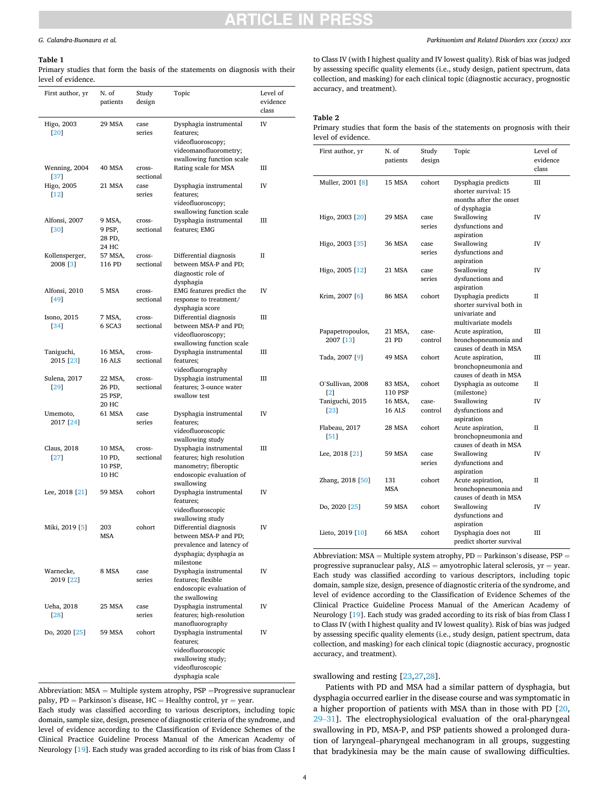### <span id="page-3-0"></span>*G. Calandra-Buonaura et al.*

#### **Table 1**

Primary studies that form the basis of the statements on diagnosis with their level of evidence.

| First author, yr             | N. of<br>patients                     | Study<br>design             | Topic                                                                                                                                                                                                                    | Level of<br>evidence<br>class |
|------------------------------|---------------------------------------|-----------------------------|--------------------------------------------------------------------------------------------------------------------------------------------------------------------------------------------------------------------------|-------------------------------|
| Higo, 2003<br>[20]           | 29 MSA                                | case<br>series              | Dysphagia instrumental<br>features;<br>videofluoroscopy;<br>videomanofluorometry;                                                                                                                                        | IV                            |
| Wenning, 2004                | 40 MSA                                | cross-                      | swallowing function scale<br>Rating scale for MSA                                                                                                                                                                        | Ш                             |
| [37]<br>Higo, 2005<br>$[12]$ | 21 MSA                                | sectional<br>case<br>series | Dysphagia instrumental<br>features;<br>videofluoroscopy;<br>swallowing function scale                                                                                                                                    | IV                            |
| Alfonsi, 2007<br>[30]        | 9 MSA,<br>9 PSP,<br>28 PD,<br>24 HC   | cross-<br>sectional         | Dysphagia instrumental<br>features; EMG                                                                                                                                                                                  | Ш                             |
| Kollensperger,<br>2008 [3]   | 57 MSA,<br>116 PD                     | cross-<br>sectional         | Differential diagnosis<br>between MSA-P and PD;<br>diagnostic role of<br>dysphagia                                                                                                                                       | П                             |
| Alfonsi, 2010<br>[49]        | 5 MSA                                 | cross-<br>sectional         | EMG features predict the<br>response to treatment/<br>dysphagia score                                                                                                                                                    | IV                            |
| Isono, 2015<br>[34]          | 7 MSA,<br>6 SCA3                      | cross-<br>sectional         | Differential diagnosis<br>between MSA-P and PD;<br>videofluoroscopy;<br>swallowing function scale                                                                                                                        | Ш                             |
| Taniguchi,<br>2015 [23]      | 16 MSA,<br>16 ALS                     | cross-<br>sectional         | Dysphagia instrumental<br>features;<br>videofluorography                                                                                                                                                                 | Ш                             |
| Sulena, 2017<br>[29]         | 22 MSA,<br>26 PD,<br>25 PSP,<br>20 HC | cross-<br>sectional         | Dysphagia instrumental<br>features; 3-ounce water<br>swallow test                                                                                                                                                        | Ш                             |
| Umemoto,<br>2017 [24]        | 61 MSA                                | case<br>series              | Dysphagia instrumental<br>features;<br>videofluoroscopic<br>swallowing study                                                                                                                                             | IV                            |
| Claus, 2018<br>$[27]$        | 10 MSA,<br>10 PD,<br>10 PSP,<br>10 HC | cross-<br>sectional         | Dysphagia instrumental<br>features; high resolution<br>manometry; fiberoptic<br>endoscopic evaluation of<br>swallowing                                                                                                   | Ш                             |
| Lee, 2018 [21]               | <b>59 MSA</b>                         | cohort                      | Dysphagia instrumental<br>features;<br>videofluoroscopic<br>swallowing study                                                                                                                                             | IV                            |
| Miki, 2019 [5]               | 203<br>MSA                            | cohort                      | Differential diagnosis<br>between MSA-P and PD;<br>prevalence and latency of<br>dysphagia; dysphagia as<br>milestone                                                                                                     | IV                            |
| Warnecke,<br>2019 [22]       | 8 MSA                                 | case<br>series              | Dysphagia instrumental<br>features; flexible<br>endoscopic evaluation of<br>the swallowing                                                                                                                               | IV                            |
| Ueha, 2018<br>[28]           | <b>25 MSA</b>                         | case<br>series              | Dysphagia instrumental<br>features; high-resolution<br>manofluorography                                                                                                                                                  | IV                            |
| Do, 2020 [25]                | 59 MSA                                | cohort                      | Dysphagia instrumental<br>features;<br>videofluoroscopic<br>swallowing study;<br>videofluroscopic<br>dysphagia scale<br>$\Lambda$ bbroviation: $\overline{MSA}$ - Multiple gratem atrephy. $\overline{DCD}$ - Dreamering | IV                            |

*Parkinsonism and Related Disorders xxx (xxxx) xxx*

to Class IV (with I highest quality and IV lowest quality). Risk of bias was judged by assessing specific quality elements (i.e., study design, patient spectrum, data collection, and masking) for each clinical topic (diagnostic accuracy, prognostic accuracy, and treatment).

# **Table 2**

Primary studies that form the basis of the statements on prognosis with their level of evidence.

| First author, yr                      | N. of<br>patients        | Study<br>design  | Topic                                                                                   | Level of<br>evidence<br>class |
|---------------------------------------|--------------------------|------------------|-----------------------------------------------------------------------------------------|-------------------------------|
| Muller, 2001 [8]                      | 15 MSA                   | cohort           | Dysphagia predicts<br>shorter survival: 15<br>months after the onset<br>of dysphagia    | Ш                             |
| Higo, 2003 [20]                       | 29 MSA                   | case<br>series   | Swallowing<br>dysfunctions and<br>aspiration                                            | IV                            |
| Higo, 2003 [35]                       | 36 MSA                   | case<br>series   | Swallowing<br>dysfunctions and<br>aspiration                                            | IV                            |
| Higo, 2005 [12]                       | 21 MSA                   | case<br>series   | Swallowing<br>dysfunctions and<br>aspiration                                            | IV                            |
| Krim, 2007 [6]                        | <b>86 MSA</b>            | cohort           | Dysphagia predicts<br>shorter survival both in<br>univariate and<br>multivariate models | $_{\rm II}$                   |
| Papapetropoulos,<br>2007 [13]         | 21 MSA,<br>21 PD         | case-<br>control | Acute aspiration,<br>bronchopneumonia and<br>causes of death in MSA                     | Ш                             |
| Tada, 2007 [9]                        | 49 MSA                   | cohort           | Acute aspiration,<br>bronchopneumonia and<br>causes of death in MSA                     | Ш                             |
| O'Sullivan, 2008<br>$\lceil 2 \rceil$ | 83 MSA,<br>110 PSP       | cohort           | Dysphagia as outcome<br>(milestone)                                                     | П                             |
| Taniguchi, 2015<br>[23]               | 16 MSA,<br><b>16 ALS</b> | case-<br>control | Swallowing<br>dysfunctions and<br>aspiration                                            | IV                            |
| Flabeau, 2017<br>[51]                 | 28 MSA                   | cohort           | Acute aspiration,<br>bronchopneumonia and<br>causes of death in MSA                     | $_{\rm II}$                   |
| Lee, 2018 [21]                        | 59 MSA                   | case<br>series   | Swallowing<br>dysfunctions and<br>aspiration                                            | IV                            |
| Zhang, 2018 [50]                      | 131<br><b>MSA</b>        | cohort           | Acute aspiration,<br>bronchopneumonia and<br>causes of death in MSA                     | $_{\rm II}$                   |
| Do, 2020 [25]                         | 59 MSA                   | cohort           | Swallowing<br>dysfunctions and<br>aspiration                                            | IV                            |
| Lieto, 2019 [10]                      | 66 MSA                   | cohort           | Dysphagia does not<br>predict shorter survival                                          | Ш                             |

Abbreviation:  $MSA = Multiple system atrophy, PD = Parkinson's disease, PSP =$ progressive supranuclear palsy,  $ALS =$  amyotrophic lateral sclerosis,  $yr =$ year. Each study was classified according to various descriptors, including topic domain, sample size, design, presence of diagnostic criteria of the syndrome, and level of evidence according to the Classification of Evidence Schemes of the Clinical Practice Guideline Process Manual of the American Academy of Neurology [[19\]](#page-8-0). Each study was graded according to its risk of bias from Class I to Class IV (with I highest quality and IV lowest quality). Risk of bias was judged by assessing specific quality elements (i.e., study design, patient spectrum, data collection, and masking) for each clinical topic (diagnostic accuracy, prognostic accuracy, and treatment).

#### swallowing and resting [\[23,27](#page-8-0),[28\]](#page-8-0).

Abbreviation:  $MSA =$  Multiple system atrophy,  $PSP =$ Progressive supranuclear palsy,  $PD =$  Parkinson's disease,  $HC =$  Healthy control,  $yr =$  year.

Each study was classified according to various descriptors, including topic domain, sample size, design, presence of diagnostic criteria of the syndrome, and level of evidence according to the Classification of Evidence Schemes of the Clinical Practice Guideline Process Manual of the American Academy of Neurology [[19\]](#page-8-0). Each study was graded according to its risk of bias from Class I

Patients with PD and MSA had a similar pattern of dysphagia, but dysphagia occurred earlier in the disease course and was symptomatic in a higher proportion of patients with MSA than in those with PD [\[20](#page-8-0), 29–[31\]](#page-8-0). The electrophysiological evaluation of the oral-pharyngeal swallowing in PD, MSA-P, and PSP patients showed a prolonged duration of laryngeal–pharyngeal mechanogram in all groups, suggesting that bradykinesia may be the main cause of swallowing difficulties.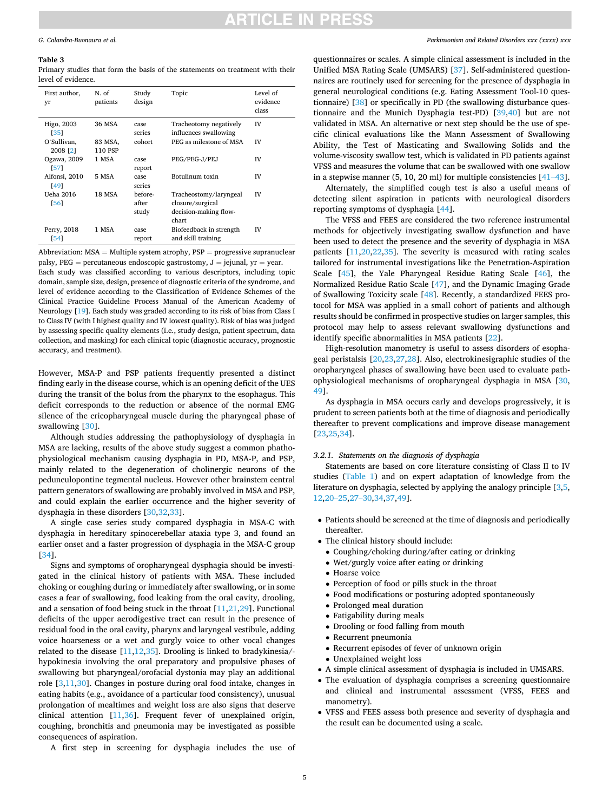#### <span id="page-4-0"></span>**Table 3**

Primary studies that form the basis of the statements on treatment with their level of evidence.

| First author,<br>yr     | N. of<br>patients  | Study<br>design           | Topic                                                                        | Level of<br>evidence<br>class |
|-------------------------|--------------------|---------------------------|------------------------------------------------------------------------------|-------------------------------|
| Higo, 2003<br>351       | 36 MSA             | case<br>series            | Tracheotomy negatively<br>influences swallowing                              | IV                            |
| O'Sullivan,<br>2008 [2] | 83 MSA,<br>110 PSP | cohort                    | PEG as milestone of MSA                                                      | IV                            |
| Ogawa, 2009<br>571      | 1 MSA              | case<br>report            | PEG/PEG-J/PEJ                                                                | IV                            |
| Alfonsi, 2010<br>[49]   | 5 MSA              | case<br>series            | Botulinum toxin                                                              | IV                            |
| Ueha 2016<br>[56]       | 18 MSA             | before-<br>after<br>study | Tracheostomy/laryngeal<br>closure/surgical<br>decision-making flow-<br>chart | IV                            |
| Perry, 2018<br>[54]     | 1 MSA              | case<br>report            | Biofeedback in strength<br>and skill training                                | IV                            |

Abbreviation: MSA = Multiple system atrophy, PSP = progressive supranuclear palsy,  $PEG =$  percutaneous endoscopic gastrostomy,  $J =$  jejunal,  $yr =$  year. Each study was classified according to various descriptors, including topic domain, sample size, design, presence of diagnostic criteria of the syndrome, and level of evidence according to the Classification of Evidence Schemes of the Clinical Practice Guideline Process Manual of the American Academy of Neurology [[19\]](#page-8-0). Each study was graded according to its risk of bias from Class I to Class IV (with I highest quality and IV lowest quality). Risk of bias was judged by assessing specific quality elements (i.e., study design, patient spectrum, data collection, and masking) for each clinical topic (diagnostic accuracy, prognostic accuracy, and treatment).

However, MSA-P and PSP patients frequently presented a distinct finding early in the disease course, which is an opening deficit of the UES during the transit of the bolus from the pharynx to the esophagus. This deficit corresponds to the reduction or absence of the normal EMG silence of the cricopharyngeal muscle during the pharyngeal phase of swallowing [\[30](#page-8-0)].

Although studies addressing the pathophysiology of dysphagia in MSA are lacking, results of the above study suggest a common phathophysiological mechanism causing dysphagia in PD, MSA-P, and PSP, mainly related to the degeneration of cholinergic neurons of the pedunculopontine tegmental nucleus. However other brainstem central pattern generators of swallowing are probably involved in MSA and PSP, and could explain the earlier occurrence and the higher severity of dysphagia in these disorders [[30,32,33](#page-8-0)].

A single case series study compared dysphagia in MSA-C with dysphagia in hereditary spinocerebellar ataxia type 3, and found an earlier onset and a faster progression of dysphagia in the MSA-C group [[34\]](#page-8-0).

Signs and symptoms of oropharyngeal dysphagia should be investigated in the clinical history of patients with MSA. These included choking or coughing during or immediately after swallowing, or in some cases a fear of swallowing, food leaking from the oral cavity, drooling, and a sensation of food being stuck in the throat  $[11,21,29]$  $[11,21,29]$  $[11,21,29]$  $[11,21,29]$ . Functional deficits of the upper aerodigestive tract can result in the presence of residual food in the oral cavity, pharynx and laryngeal vestibule, adding voice hoarseness or a wet and gurgly voice to other vocal changes related to the disease [\[11](#page-8-0),[12,35\]](#page-8-0). Drooling is linked to bradykinesia/hypokinesia involving the oral preparatory and propulsive phases of swallowing but pharyngeal/orofacial dystonia may play an additional role [\[3](#page-7-0)[,11,30](#page-8-0)]. Changes in posture during oral food intake, changes in eating habits (e.g., avoidance of a particular food consistency), unusual prolongation of mealtimes and weight loss are also signs that deserve clinical attention [\[11](#page-8-0),[36\]](#page-8-0). Frequent fever of unexplained origin, coughing, bronchitis and pneumonia may be investigated as possible consequences of aspiration.

*Parkinsonism and Related Disorders xxx (xxxx) xxx*

questionnaires or scales. A simple clinical assessment is included in the Unified MSA Rating Scale (UMSARS) [[37\]](#page-8-0). Self-administered questionnaires are routinely used for screening for the presence of dysphagia in general neurological conditions (e.g. Eating Assessment Tool-10 questionnaire) [\[38](#page-8-0)] or specifically in PD (the swallowing disturbance questionnaire and the Munich Dysphagia test-PD) [[39,40](#page-8-0)] but are not validated in MSA. An alternative or next step should be the use of specific clinical evaluations like the Mann Assessment of Swallowing Ability, the Test of Masticating and Swallowing Solids and the volume-viscosity swallow test, which is validated in PD patients against VFSS and measures the volume that can be swallowed with one swallow in a stepwise manner (5, 10, 20 ml) for multiple consistencies [\[41](#page-8-0)–43].

Alternately, the simplified cough test is also a useful means of detecting silent aspiration in patients with neurological disorders reporting symptoms of dysphagia [\[44](#page-8-0)].

The VFSS and FEES are considered the two reference instrumental methods for objectively investigating swallow dysfunction and have been used to detect the presence and the severity of dysphagia in MSA patients [\[11,20](#page-8-0),[22](#page-8-0),[35\]](#page-8-0). The severity is measured with rating scales tailored for instrumental investigations like the Penetration-Aspiration Scale [[45\]](#page-8-0), the Yale Pharyngeal Residue Rating Scale [\[46](#page-8-0)], the Normalized Residue Ratio Scale [\[47](#page-8-0)], and the Dynamic Imaging Grade of Swallowing Toxicity scale [[48\]](#page-8-0). Recently, a standardized FEES protocol for MSA was applied in a small cohort of patients and although results should be confirmed in prospective studies on larger samples, this protocol may help to assess relevant swallowing dysfunctions and identify specific abnormalities in MSA patients [[22\]](#page-8-0).

High-resolution manometry is useful to assess disorders of esophageal peristalsis [[20,23,27,28](#page-8-0)]. Also, electrokinesigraphic studies of the oropharyngeal phases of swallowing have been used to evaluate pathophysiological mechanisms of oropharyngeal dysphagia in MSA [\[30](#page-8-0), [49\]](#page-8-0).

As dysphagia in MSA occurs early and develops progressively, it is prudent to screen patients both at the time of diagnosis and periodically thereafter to prevent complications and improve disease management [[23,25,34](#page-8-0)].

### *3.2.1. Statements on the diagnosis of dysphagia*

Statements are based on core literature consisting of Class II to IV studies [\(Table 1](#page-3-0)) and on expert adaptation of knowledge from the literature on dysphagia, selected by applying the analogy principle [\[3,5](#page-7-0), [12,](#page-8-0)20–[25,](#page-8-0)27–[30,34,37](#page-8-0),[49\]](#page-8-0).

- Patients should be screened at the time of diagnosis and periodically thereafter.
- The clinical history should include:
	- Coughing/choking during/after eating or drinking
	- Wet/gurgly voice after eating or drinking
- Hoarse voice
- Perception of food or pills stuck in the throat
- Food modifications or posturing adopted spontaneously
- Prolonged meal duration
- Fatigability during meals
- Drooling or food falling from mouth
- Recurrent pneumonia
- Recurrent episodes of fever of unknown origin
- Unexplained weight loss
- A simple clinical assessment of dysphagia is included in UMSARS.
- The evaluation of dysphagia comprises a screening questionnaire and clinical and instrumental assessment (VFSS, FEES and manometry).
- VFSS and FEES assess both presence and severity of dysphagia and the result can be documented using a scale.

A first step in screening for dysphagia includes the use of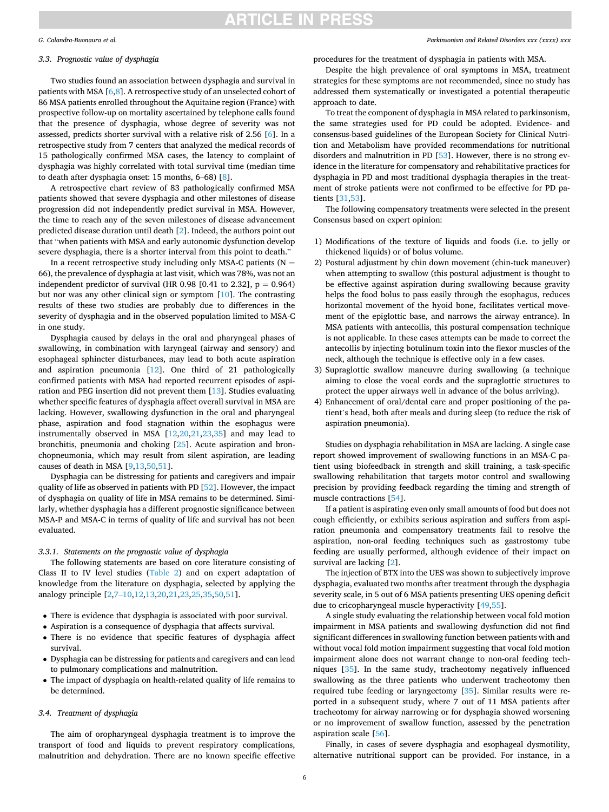#### *G. Calandra-Buonaura et al.*

### *3.3. Prognostic value of dysphagia*

Two studies found an association between dysphagia and survival in patients with MSA [\[6,](#page-7-0)[8](#page-8-0)]. A retrospective study of an unselected cohort of 86 MSA patients enrolled throughout the Aquitaine region (France) with prospective follow-up on mortality ascertained by telephone calls found that the presence of dysphagia, whose degree of severity was not assessed, predicts shorter survival with a relative risk of 2.56 [\[6\]](#page-7-0). In a retrospective study from 7 centers that analyzed the medical records of 15 pathologically confirmed MSA cases, the latency to complaint of dysphagia was highly correlated with total survival time (median time to death after dysphagia onset: 15 months, 6–68) [[8\]](#page-8-0).

A retrospective chart review of 83 pathologically confirmed MSA patients showed that severe dysphagia and other milestones of disease progression did not independently predict survival in MSA. However, the time to reach any of the seven milestones of disease advancement predicted disease duration until death [\[2\]](#page-7-0). Indeed, the authors point out that "when patients with MSA and early autonomic dysfunction develop severe dysphagia, there is a shorter interval from this point to death."

In a recent retrospective study including only MSA-C patients ( $N =$ 66), the prevalence of dysphagia at last visit, which was 78%, was not an independent predictor of survival (HR 0.98 [0.41 to 2.32],  $p = 0.964$ ) but nor was any other clinical sign or symptom [[10\]](#page-8-0). The contrasting results of these two studies are probably due to differences in the severity of dysphagia and in the observed population limited to MSA-C in one study.

Dysphagia caused by delays in the oral and pharyngeal phases of swallowing, in combination with laryngeal (airway and sensory) and esophageal sphincter disturbances, may lead to both acute aspiration and aspiration pneumonia [[12\]](#page-8-0). One third of 21 pathologically confirmed patients with MSA had reported recurrent episodes of aspiration and PEG insertion did not prevent them [\[13](#page-8-0)]. Studies evaluating whether specific features of dysphagia affect overall survival in MSA are lacking. However, swallowing dysfunction in the oral and pharyngeal phase, aspiration and food stagnation within the esophagus were instrumentally observed in MSA [\[12](#page-8-0),[20,21,23,35](#page-8-0)] and may lead to bronchitis, pneumonia and choking [[25\]](#page-8-0). Acute aspiration and bronchopneumonia, which may result from silent aspiration, are leading causes of death in MSA [[9,13](#page-8-0),[50,51\]](#page-8-0).

Dysphagia can be distressing for patients and caregivers and impair quality of life as observed in patients with PD [[52\]](#page-8-0). However, the impact of dysphagia on quality of life in MSA remains to be determined. Similarly, whether dysphagia has a different prognostic significance between MSA-P and MSA-C in terms of quality of life and survival has not been evaluated.

# *3.3.1. Statements on the prognostic value of dysphagia*

The following statements are based on core literature consisting of Class II to IV level studies [\(Table 2\)](#page-3-0) and on expert adaptation of knowledge from the literature on dysphagia, selected by applying the analogy principle [[2](#page-7-0),7–[10](#page-7-0)[,12,13](#page-8-0),[20,21,23,25,35](#page-8-0),[50,51\]](#page-8-0).

- There is evidence that dysphagia is associated with poor survival.
- Aspiration is a consequence of dysphagia that affects survival.
- There is no evidence that specific features of dysphagia affect survival.
- Dysphagia can be distressing for patients and caregivers and can lead to pulmonary complications and malnutrition.
- The impact of dysphagia on health-related quality of life remains to be determined.

### *3.4. Treatment of dysphagia*

The aim of oropharyngeal dysphagia treatment is to improve the transport of food and liquids to prevent respiratory complications, malnutrition and dehydration. There are no known specific effective

#### *Parkinsonism and Related Disorders xxx (xxxx) xxx*

procedures for the treatment of dysphagia in patients with MSA.

Despite the high prevalence of oral symptoms in MSA, treatment strategies for these symptoms are not recommended, since no study has addressed them systematically or investigated a potential therapeutic approach to date.

To treat the component of dysphagia in MSA related to parkinsonism, the same strategies used for PD could be adopted. Evidence- and consensus-based guidelines of the European Society for Clinical Nutrition and Metabolism have provided recommendations for nutritional disorders and malnutrition in PD [\[53](#page-8-0)]. However, there is no strong evidence in the literature for compensatory and rehabilitative practices for dysphagia in PD and most traditional dysphagia therapies in the treatment of stroke patients were not confirmed to be effective for PD patients [[31,53\]](#page-8-0).

The following compensatory treatments were selected in the present Consensus based on expert opinion:

- 1) Modifications of the texture of liquids and foods (i.e. to jelly or thickened liquids) or of bolus volume.
- 2) Postural adjustment by chin down movement (chin-tuck maneuver) when attempting to swallow (this postural adjustment is thought to be effective against aspiration during swallowing because gravity helps the food bolus to pass easily through the esophagus, reduces horizontal movement of the hyoid bone, facilitates vertical movement of the epiglottic base, and narrows the airway entrance). In MSA patients with antecollis, this postural compensation technique is not applicable. In these cases attempts can be made to correct the antecollis by injecting botulinum toxin into the flexor muscles of the neck, although the technique is effective only in a few cases.
- 3) Supraglottic swallow maneuvre during swallowing (a technique aiming to close the vocal cords and the supraglottic structures to protect the upper airways well in advance of the bolus arriving).
- 4) Enhancement of oral/dental care and proper positioning of the patient's head, both after meals and during sleep (to reduce the risk of aspiration pneumonia).

Studies on dysphagia rehabilitation in MSA are lacking. A single case report showed improvement of swallowing functions in an MSA-C patient using biofeedback in strength and skill training, a task-specific swallowing rehabilitation that targets motor control and swallowing precision by providing feedback regarding the timing and strength of muscle contractions [[54\]](#page-8-0).

If a patient is aspirating even only small amounts of food but does not cough efficiently, or exhibits serious aspiration and suffers from aspiration pneumonia and compensatory treatments fail to resolve the aspiration, non-oral feeding techniques such as gastrostomy tube feeding are usually performed, although evidence of their impact on survival are lacking [[2](#page-7-0)].

The injection of BTX into the UES was shown to subjectively improve dysphagia, evaluated two months after treatment through the dysphagia severity scale, in 5 out of 6 MSA patients presenting UES opening deficit due to cricopharyngeal muscle hyperactivity [[49,55](#page-8-0)].

A single study evaluating the relationship between vocal fold motion impairment in MSA patients and swallowing dysfunction did not find significant differences in swallowing function between patients with and without vocal fold motion impairment suggesting that vocal fold motion impairment alone does not warrant change to non-oral feeding techniques [\[35](#page-8-0)]. In the same study, tracheotomy negatively influenced swallowing as the three patients who underwent tracheotomy then required tube feeding or laryngectomy [\[35](#page-8-0)]. Similar results were reported in a subsequent study, where 7 out of 11 MSA patients after tracheotomy for airway narrowing or for dysphagia showed worsening or no improvement of swallow function, assessed by the penetration aspiration scale [\[56](#page-8-0)].

Finally, in cases of severe dysphagia and esophageal dysmotility, alternative nutritional support can be provided. For instance, in a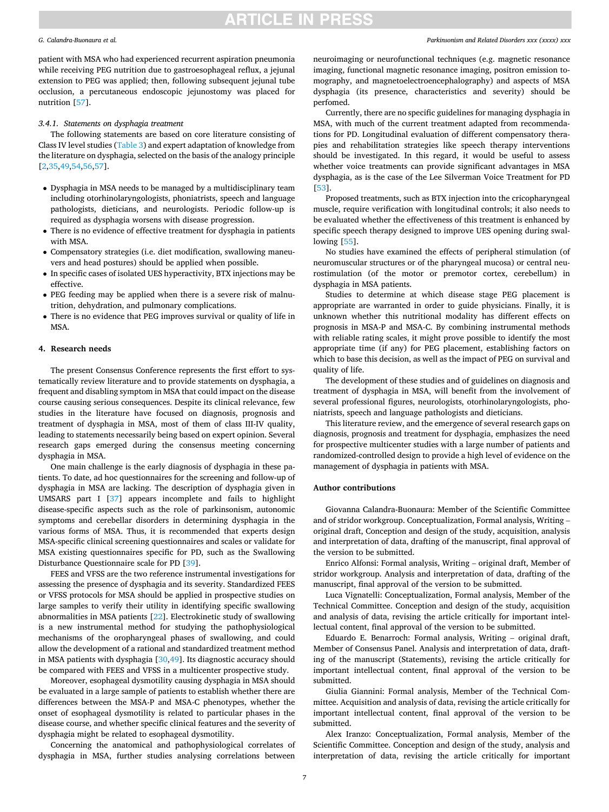#### *G. Calandra-Buonaura et al.*

patient with MSA who had experienced recurrent aspiration pneumonia while receiving PEG nutrition due to gastroesophageal reflux, a jejunal extension to PEG was applied; then, following subsequent jejunal tube occlusion, a percutaneous endoscopic jejunostomy was placed for nutrition [[57\]](#page-8-0).

#### *3.4.1. Statements on dysphagia treatment*

The following statements are based on core literature consisting of Class IV level studies [\(Table 3](#page-4-0)) and expert adaptation of knowledge from the literature on dysphagia, selected on the basis of the analogy principle [[2](#page-7-0),[35,49,54,56](#page-8-0),[57](#page-8-0)].

- Dysphagia in MSA needs to be managed by a multidisciplinary team including otorhinolaryngologists, phoniatrists, speech and language pathologists, dieticians, and neurologists. Periodic follow-up is required as dysphagia worsens with disease progression.
- There is no evidence of effective treatment for dysphagia in patients with MSA.
- Compensatory strategies (i.e. diet modification, swallowing maneuvers and head postures) should be applied when possible.
- In specific cases of isolated UES hyperactivity, BTX injections may be effective.
- PEG feeding may be applied when there is a severe risk of malnutrition, dehydration, and pulmonary complications.
- There is no evidence that PEG improves survival or quality of life in MSA.

# **4. Research needs**

The present Consensus Conference represents the first effort to systematically review literature and to provide statements on dysphagia, a frequent and disabling symptom in MSA that could impact on the disease course causing serious consequences. Despite its clinical relevance, few studies in the literature have focused on diagnosis, prognosis and treatment of dysphagia in MSA, most of them of class III-IV quality, leading to statements necessarily being based on expert opinion. Several research gaps emerged during the consensus meeting concerning dysphagia in MSA.

One main challenge is the early diagnosis of dysphagia in these patients. To date, ad hoc questionnaires for the screening and follow-up of dysphagia in MSA are lacking. The description of dysphagia given in UMSARS part I [\[37](#page-8-0)] appears incomplete and fails to highlight disease-specific aspects such as the role of parkinsonism, autonomic symptoms and cerebellar disorders in determining dysphagia in the various forms of MSA. Thus, it is recommended that experts design MSA-specific clinical screening questionnaires and scales or validate for MSA existing questionnaires specific for PD, such as the Swallowing Disturbance Questionnaire scale for PD [[39\]](#page-8-0).

FEES and VFSS are the two reference instrumental investigations for assessing the presence of dysphagia and its severity. Standardized FEES or VFSS protocols for MSA should be applied in prospective studies on large samples to verify their utility in identifying specific swallowing abnormalities in MSA patients [\[22](#page-8-0)]. Electrokinetic study of swallowing is a new instrumental method for studying the pathophysiological mechanisms of the oropharyngeal phases of swallowing, and could allow the development of a rational and standardized treatment method in MSA patients with dysphagia [[30,49](#page-8-0)]. Its diagnostic accuracy should be compared with FEES and VFSS in a multicenter prospective study.

Moreover, esophageal dysmotility causing dysphagia in MSA should be evaluated in a large sample of patients to establish whether there are differences between the MSA-P and MSA-C phenotypes, whether the onset of esophageal dysmotility is related to particular phases in the disease course, and whether specific clinical features and the severity of dysphagia might be related to esophageal dysmotility.

Concerning the anatomical and pathophysiological correlates of dysphagia in MSA, further studies analysing correlations between

neuroimaging or neurofunctional techniques (e.g. magnetic resonance imaging, functional magnetic resonance imaging, positron emission tomography, and magnetoelectroencephalography) and aspects of MSA dysphagia (its presence, characteristics and severity) should be perfomed.

Currently, there are no specific guidelines for managing dysphagia in MSA, with much of the current treatment adapted from recommendations for PD. Longitudinal evaluation of different compensatory therapies and rehabilitation strategies like speech therapy interventions should be investigated. In this regard, it would be useful to assess whether voice treatments can provide significant advantages in MSA dysphagia, as is the case of the Lee Silverman Voice Treatment for PD [[53\]](#page-8-0).

Proposed treatments, such as BTX injection into the cricopharyngeal muscle, require verification with longitudinal controls; it also needs to be evaluated whether the effectiveness of this treatment is enhanced by specific speech therapy designed to improve UES opening during swallowing [\[55](#page-8-0)].

No studies have examined the effects of peripheral stimulation (of neuromuscular structures or of the pharyngeal mucosa) or central neurostimulation (of the motor or premotor cortex, cerebellum) in dysphagia in MSA patients.

Studies to determine at which disease stage PEG placement is appropriate are warranted in order to guide physicians. Finally, it is unknown whether this nutritional modality has different effects on prognosis in MSA-P and MSA-C. By combining instrumental methods with reliable rating scales, it might prove possible to identify the most appropriate time (if any) for PEG placement, establishing factors on which to base this decision, as well as the impact of PEG on survival and quality of life.

The development of these studies and of guidelines on diagnosis and treatment of dysphagia in MSA, will benefit from the involvement of several professional figures, neurologists, otorhinolaryngologists, phoniatrists, speech and language pathologists and dieticians.

This literature review, and the emergence of several research gaps on diagnosis, prognosis and treatment for dysphagia, emphasizes the need for prospective multicenter studies with a large number of patients and randomized-controlled design to provide a high level of evidence on the management of dysphagia in patients with MSA.

# **Author contributions**

Giovanna Calandra-Buonaura: Member of the Scientific Committee and of stridor workgroup. Conceptualization, Formal analysis, Writing – original draft, Conception and design of the study, acquisition, analysis and interpretation of data, drafting of the manuscript, final approval of the version to be submitted.

Enrico Alfonsi: Formal analysis, Writing – original draft, Member of stridor workgroup. Analysis and interpretation of data, drafting of the manuscript, final approval of the version to be submitted.

Luca Vignatelli: Conceptualization, Formal analysis, Member of the Technical Committee. Conception and design of the study, acquisition and analysis of data, revising the article critically for important intellectual content, final approval of the version to be submitted.

Eduardo E. Benarroch: Formal analysis, Writing – original draft, Member of Consensus Panel. Analysis and interpretation of data, drafting of the manuscript (Statements), revising the article critically for important intellectual content, final approval of the version to be submitted.

Giulia Giannini: Formal analysis, Member of the Technical Committee. Acquisition and analysis of data, revising the article critically for important intellectual content, final approval of the version to be submitted.

Alex Iranzo: Conceptualization, Formal analysis, Member of the Scientific Committee. Conception and design of the study, analysis and interpretation of data, revising the article critically for important

#### *Parkinsonism and Related Disorders xxx (xxxx) xxx*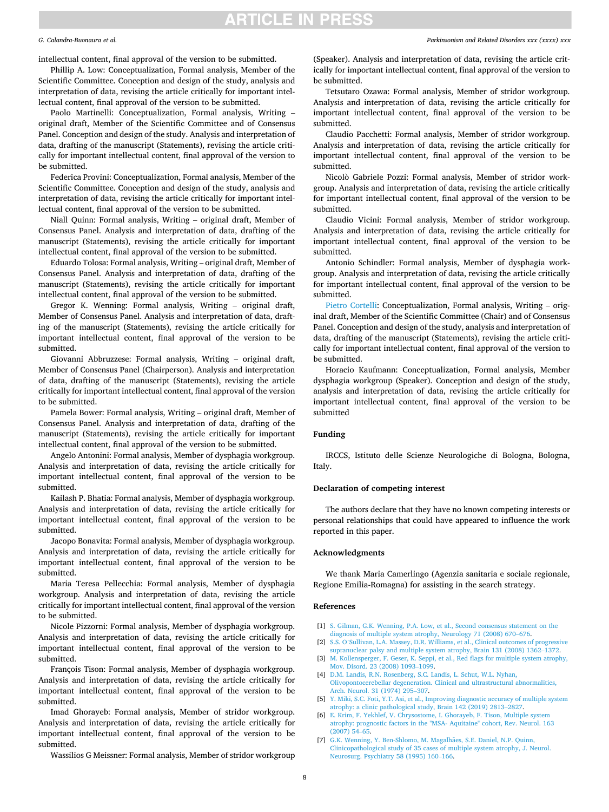#### <span id="page-7-0"></span>*G. Calandra-Buonaura et al.*

intellectual content, final approval of the version to be submitted.

Phillip A. Low: Conceptualization, Formal analysis, Member of the Scientific Committee. Conception and design of the study, analysis and interpretation of data, revising the article critically for important intellectual content, final approval of the version to be submitted.

Paolo Martinelli: Conceptualization, Formal analysis, Writing – original draft, Member of the Scientific Committee and of Consensus Panel. Conception and design of the study. Analysis and interpretation of data, drafting of the manuscript (Statements), revising the article critically for important intellectual content, final approval of the version to be submitted.

Federica Provini: Conceptualization, Formal analysis, Member of the Scientific Committee. Conception and design of the study, analysis and interpretation of data, revising the article critically for important intellectual content, final approval of the version to be submitted.

Niall Quinn: Formal analysis, Writing – original draft, Member of Consensus Panel. Analysis and interpretation of data, drafting of the manuscript (Statements), revising the article critically for important intellectual content, final approval of the version to be submitted.

Eduardo Tolosa: Formal analysis, Writing – original draft, Member of Consensus Panel. Analysis and interpretation of data, drafting of the manuscript (Statements), revising the article critically for important intellectual content, final approval of the version to be submitted.

Gregor K. Wenning: Formal analysis, Writing – original draft, Member of Consensus Panel. Analysis and interpretation of data, drafting of the manuscript (Statements), revising the article critically for important intellectual content, final approval of the version to be submitted.

Giovanni Abbruzzese: Formal analysis, Writing – original draft, Member of Consensus Panel (Chairperson). Analysis and interpretation of data, drafting of the manuscript (Statements), revising the article critically for important intellectual content, final approval of the version to be submitted.

Pamela Bower: Formal analysis, Writing – original draft, Member of Consensus Panel. Analysis and interpretation of data, drafting of the manuscript (Statements), revising the article critically for important intellectual content, final approval of the version to be submitted.

Angelo Antonini: Formal analysis, Member of dysphagia workgroup. Analysis and interpretation of data, revising the article critically for important intellectual content, final approval of the version to be submitted.

Kailash P. Bhatia: Formal analysis, Member of dysphagia workgroup. Analysis and interpretation of data, revising the article critically for important intellectual content, final approval of the version to be submitted.

Jacopo Bonavita: Formal analysis, Member of dysphagia workgroup. Analysis and interpretation of data, revising the article critically for important intellectual content, final approval of the version to be submitted.

Maria Teresa Pellecchia: Formal analysis, Member of dysphagia workgroup. Analysis and interpretation of data, revising the article critically for important intellectual content, final approval of the version to be submitted.

Nicole Pizzorni: Formal analysis, Member of dysphagia workgroup. Analysis and interpretation of data, revising the article critically for important intellectual content, final approval of the version to be submitted.

François Tison: Formal analysis, Member of dysphagia workgroup. Analysis and interpretation of data, revising the article critically for important intellectual content, final approval of the version to be submitted.

Imad Ghorayeb: Formal analysis, Member of stridor workgroup. Analysis and interpretation of data, revising the article critically for important intellectual content, final approval of the version to be submitted.

Wassilios G Meissner: Formal analysis, Member of stridor workgroup

### *Parkinsonism and Related Disorders xxx (xxxx) xxx*

(Speaker). Analysis and interpretation of data, revising the article critically for important intellectual content, final approval of the version to be submitted.

Tetsutaro Ozawa: Formal analysis, Member of stridor workgroup. Analysis and interpretation of data, revising the article critically for important intellectual content, final approval of the version to be submitted.

Claudio Pacchetti: Formal analysis, Member of stridor workgroup. Analysis and interpretation of data, revising the article critically for important intellectual content, final approval of the version to be submitted.

Nicolò Gabriele Pozzi: Formal analysis, Member of stridor workgroup. Analysis and interpretation of data, revising the article critically for important intellectual content, final approval of the version to be submitted.

Claudio Vicini: Formal analysis, Member of stridor workgroup. Analysis and interpretation of data, revising the article critically for important intellectual content, final approval of the version to be submitted.

Antonio Schindler: Formal analysis, Member of dysphagia workgroup. Analysis and interpretation of data, revising the article critically for important intellectual content, final approval of the version to be submitted.

Pietro Cortelli: Conceptualization, Formal analysis, Writing – original draft, Member of the Scientific Committee (Chair) and of Consensus Panel. Conception and design of the study, analysis and interpretation of data, drafting of the manuscript (Statements), revising the article critically for important intellectual content, final approval of the version to be submitted.

Horacio Kaufmann: Conceptualization, Formal analysis, Member dysphagia workgroup (Speaker). Conception and design of the study, analysis and interpretation of data, revising the article critically for important intellectual content, final approval of the version to be submitted

#### **Funding**

IRCCS, Istituto delle Scienze Neurologiche di Bologna, Bologna, Italy.

#### **Declaration of competing interest**

The authors declare that they have no known competing interests or personal relationships that could have appeared to influence the work reported in this paper.

### **Acknowledgments**

We thank Maria Camerlingo (Agenzia sanitaria e sociale regionale, Regione Emilia-Romagna) for assisting in the search strategy.

### **References**

- [1] S. Gilman, G.K. Wenning, P.A. Low, et al., Second consensus statement on the [diagnosis of multiple system atrophy, Neurology 71 \(2008\) 670](http://refhub.elsevier.com/S1353-8020(21)00120-6/sref1)–676.
- [2] S.S. O'[Sullivan, L.A. Massey, D.R. Williams, et al., Clinical outcomes of progressive](http://refhub.elsevier.com/S1353-8020(21)00120-6/sref2)  [supranuclear palsy and multiple system atrophy, Brain 131 \(2008\) 1362](http://refhub.elsevier.com/S1353-8020(21)00120-6/sref2)–1372.
- [3] [M. Kollensperger, F. Geser, K. Seppi, et al., Red flags for multiple system atrophy,](http://refhub.elsevier.com/S1353-8020(21)00120-6/sref3)  [Mov. Disord. 23 \(2008\) 1093](http://refhub.elsevier.com/S1353-8020(21)00120-6/sref3)–1099.
- [4] [D.M. Landis, R.N. Rosenberg, S.C. Landis, L. Schut, W.L. Nyhan,](http://refhub.elsevier.com/S1353-8020(21)00120-6/sref4) [Olivopontocerebellar degeneration. Clinical and ultrastructural abnormalities,](http://refhub.elsevier.com/S1353-8020(21)00120-6/sref4)  [Arch. Neurol. 31 \(1974\) 295](http://refhub.elsevier.com/S1353-8020(21)00120-6/sref4)–307.
- [5] [Y. Miki, S.C. Foti, Y.T. Asi, et al., Improving diagnostic accuracy of multiple system](http://refhub.elsevier.com/S1353-8020(21)00120-6/sref5)  [atrophy: a clinic pathological study, Brain 142 \(2019\) 2813](http://refhub.elsevier.com/S1353-8020(21)00120-6/sref5)–2827.
- [6] [E. Krim, F. Yekhlef, V. Chrysostome, I. Ghorayeb, F. Tison, Multiple system](http://refhub.elsevier.com/S1353-8020(21)00120-6/sref6) [atrophy: prognostic factors in the "MSA- Aquitaine" cohort, Rev. Neurol. 163](http://refhub.elsevier.com/S1353-8020(21)00120-6/sref6) [\(2007\) 54](http://refhub.elsevier.com/S1353-8020(21)00120-6/sref6)–65.
- [7] [G.K. Wenning, Y. Ben-Shlomo, M. Magalh](http://refhub.elsevier.com/S1353-8020(21)00120-6/sref7)ães, S.E. Daniel, N.P. Quinn, [Clinicopathological study of 35 cases of multiple system atrophy, J. Neurol.](http://refhub.elsevier.com/S1353-8020(21)00120-6/sref7) [Neurosurg. Psychiatry 58 \(1995\) 160](http://refhub.elsevier.com/S1353-8020(21)00120-6/sref7)–166.